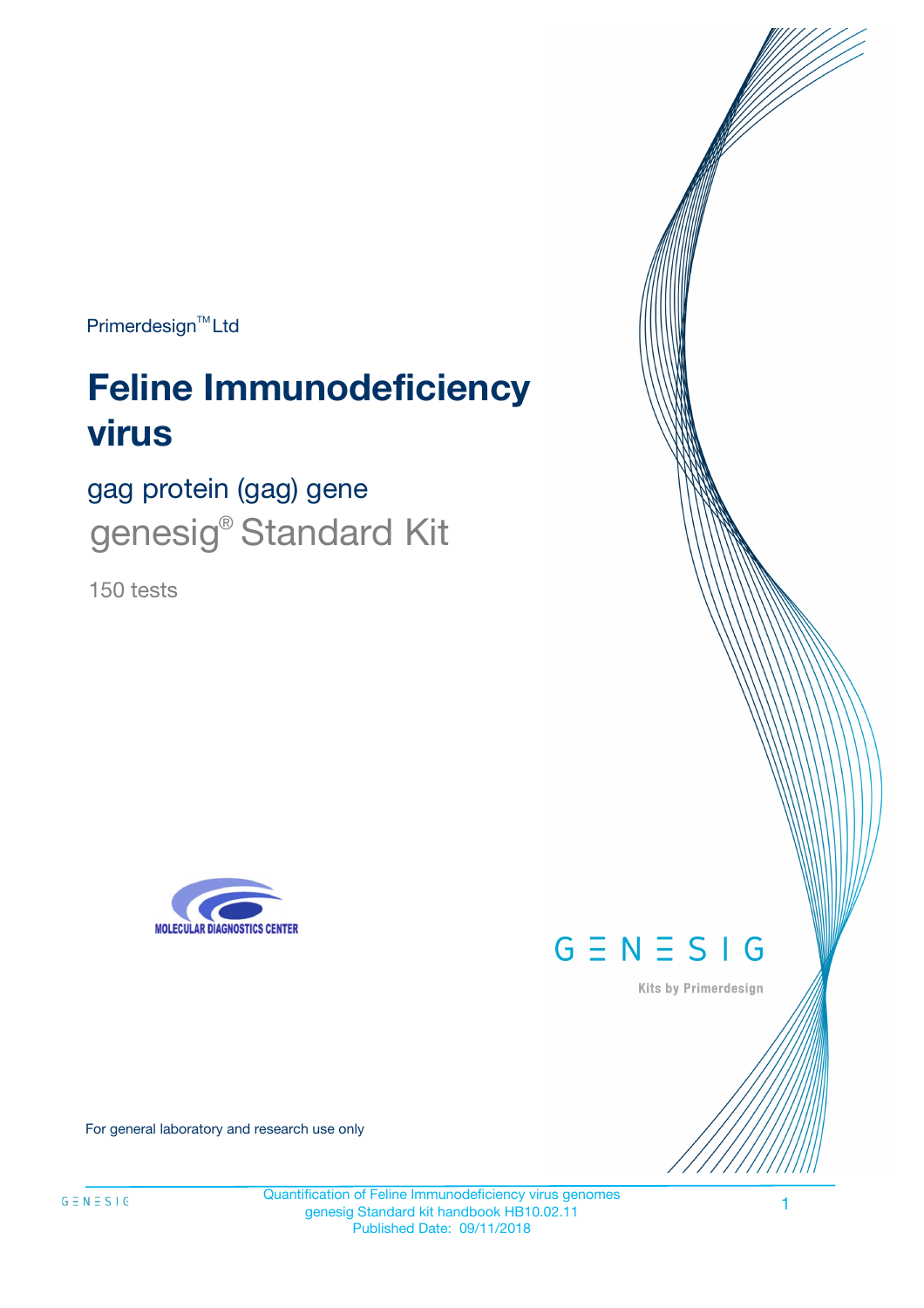Primerdesign<sup>™</sup>Ltd

# **Feline Immunodeficiency virus**

gag protein (gag) gene genesig® Standard Kit

150 tests





Kits by Primerdesign

For general laboratory and research use only

 $G \equiv N \equiv S \mid G$ 

Quantification of Feline Immunodeficiency virus genomes genesig Standard kit handbook HB10.02.11 Published Date: 09/11/2018

1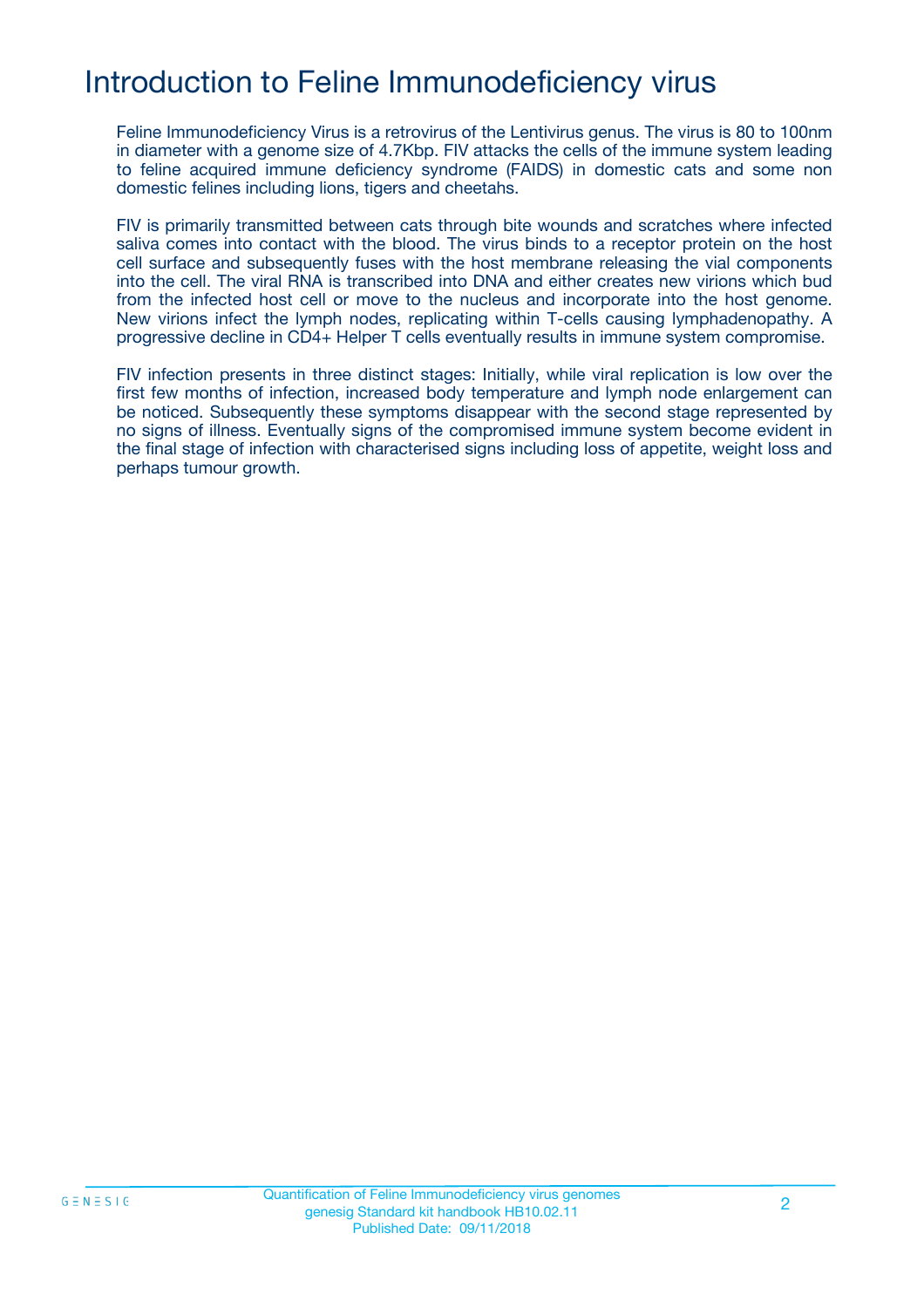# Introduction to Feline Immunodeficiency virus

Feline Immunodeficiency Virus is a retrovirus of the Lentivirus genus. The virus is 80 to 100nm in diameter with a genome size of 4.7Kbp. FIV attacks the cells of the immune system leading to feline acquired immune deficiency syndrome (FAIDS) in domestic cats and some non domestic felines including lions, tigers and cheetahs.

FIV is primarily transmitted between cats through bite wounds and scratches where infected saliva comes into contact with the blood. The virus binds to a receptor protein on the host cell surface and subsequently fuses with the host membrane releasing the vial components into the cell. The viral RNA is transcribed into DNA and either creates new virions which bud from the infected host cell or move to the nucleus and incorporate into the host genome. New virions infect the lymph nodes, replicating within T-cells causing lymphadenopathy. A progressive decline in CD4+ Helper T cells eventually results in immune system compromise.

FIV infection presents in three distinct stages: Initially, while viral replication is low over the first few months of infection, increased body temperature and lymph node enlargement can be noticed. Subsequently these symptoms disappear with the second stage represented by no signs of illness. Eventually signs of the compromised immune system become evident in the final stage of infection with characterised signs including loss of appetite, weight loss and perhaps tumour growth.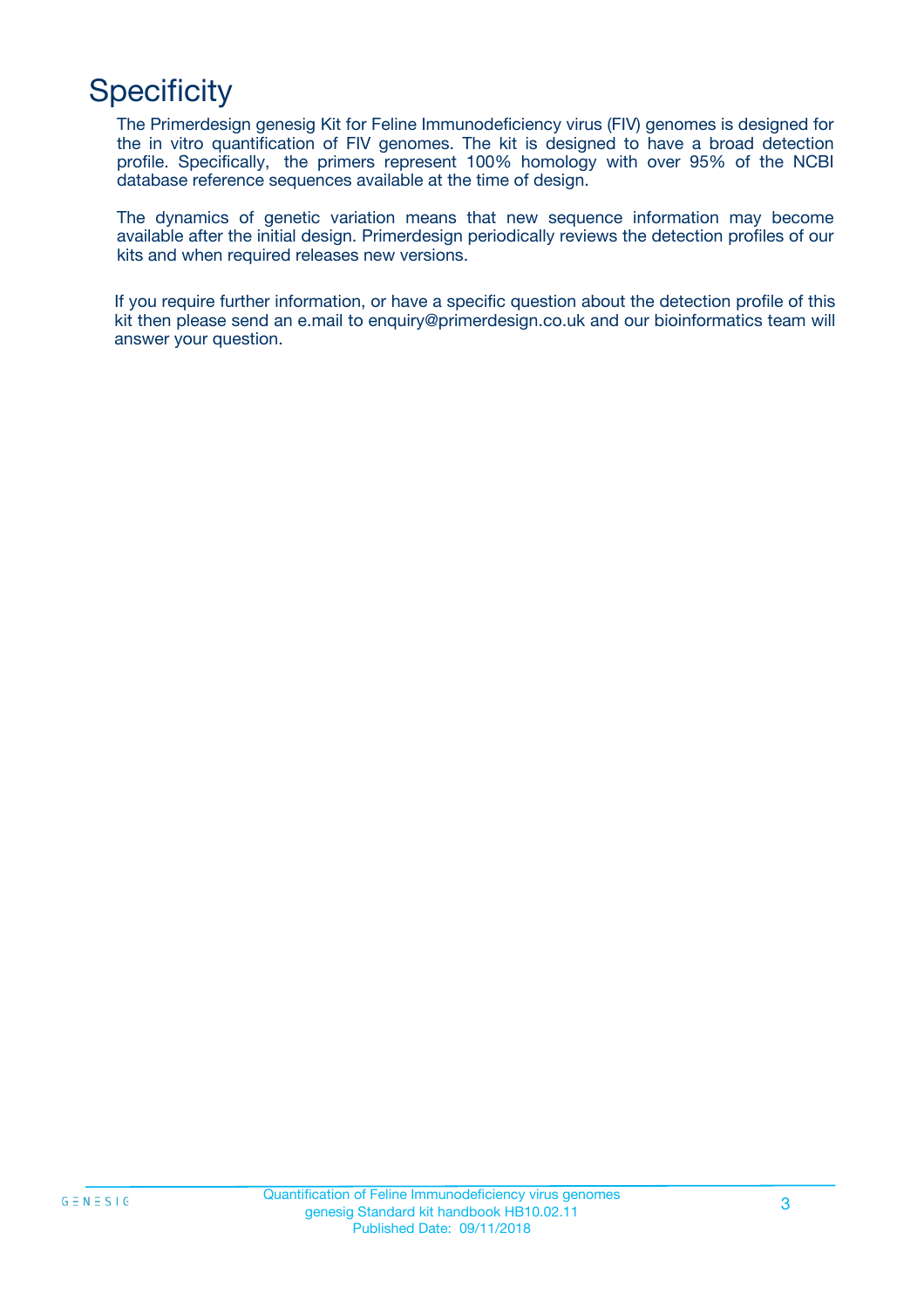# **Specificity**

The Primerdesign genesig Kit for Feline Immunodeficiency virus (FIV) genomes is designed for the in vitro quantification of FIV genomes. The kit is designed to have a broad detection profile. Specifically, the primers represent 100% homology with over 95% of the NCBI database reference sequences available at the time of design.

The dynamics of genetic variation means that new sequence information may become available after the initial design. Primerdesign periodically reviews the detection profiles of our kits and when required releases new versions.

If you require further information, or have a specific question about the detection profile of this kit then please send an e.mail to enquiry@primerdesign.co.uk and our bioinformatics team will answer your question.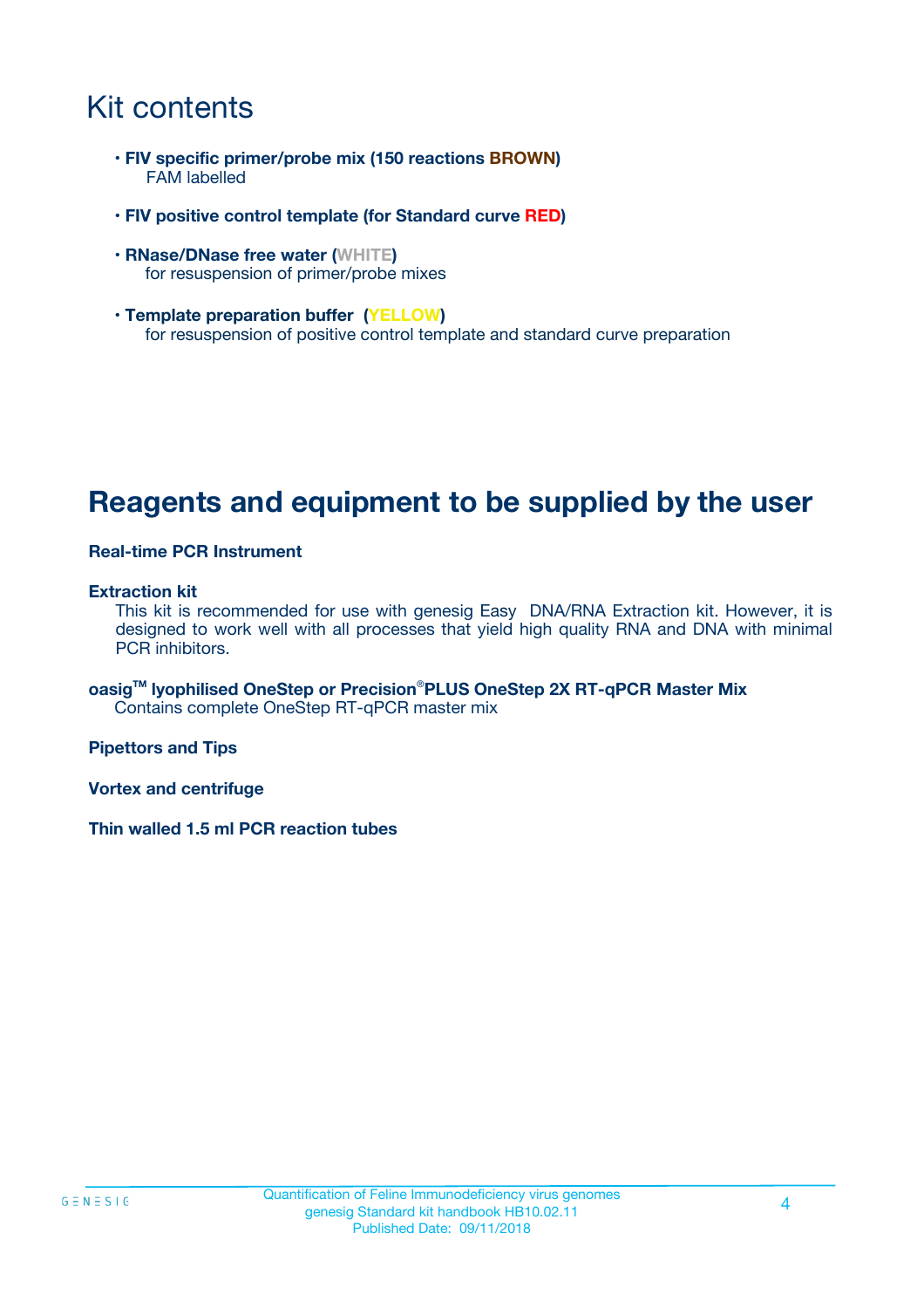# Kit contents

- **FIV specific primer/probe mix (150 reactions BROWN)** FAM labelled
- **FIV positive control template (for Standard curve RED)**
- **RNase/DNase free water (WHITE)** for resuspension of primer/probe mixes
- **Template preparation buffer (YELLOW)** for resuspension of positive control template and standard curve preparation

### **Reagents and equipment to be supplied by the user**

#### **Real-time PCR Instrument**

#### **Extraction kit**

This kit is recommended for use with genesig Easy DNA/RNA Extraction kit. However, it is designed to work well with all processes that yield high quality RNA and DNA with minimal PCR inhibitors.

**oasigTM lyophilised OneStep or Precision**®**PLUS OneStep 2X RT-qPCR Master Mix** Contains complete OneStep RT-qPCR master mix

**Pipettors and Tips**

**Vortex and centrifuge**

**Thin walled 1.5 ml PCR reaction tubes**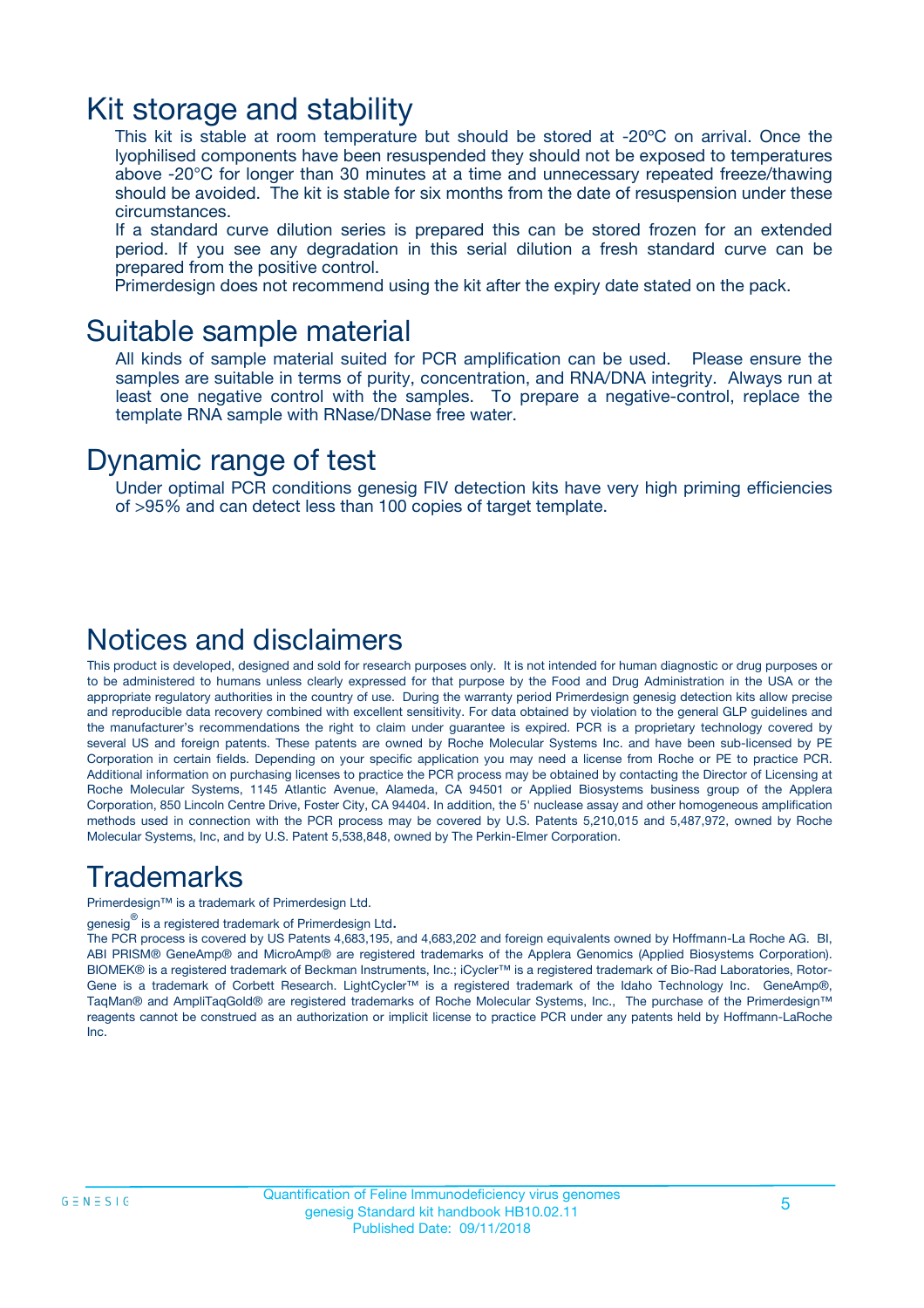### Kit storage and stability

This kit is stable at room temperature but should be stored at -20ºC on arrival. Once the lyophilised components have been resuspended they should not be exposed to temperatures above -20°C for longer than 30 minutes at a time and unnecessary repeated freeze/thawing should be avoided. The kit is stable for six months from the date of resuspension under these circumstances.

If a standard curve dilution series is prepared this can be stored frozen for an extended period. If you see any degradation in this serial dilution a fresh standard curve can be prepared from the positive control.

Primerdesign does not recommend using the kit after the expiry date stated on the pack.

### Suitable sample material

All kinds of sample material suited for PCR amplification can be used. Please ensure the samples are suitable in terms of purity, concentration, and RNA/DNA integrity. Always run at least one negative control with the samples. To prepare a negative-control, replace the template RNA sample with RNase/DNase free water.

### Dynamic range of test

Under optimal PCR conditions genesig FIV detection kits have very high priming efficiencies of >95% and can detect less than 100 copies of target template.

### Notices and disclaimers

This product is developed, designed and sold for research purposes only. It is not intended for human diagnostic or drug purposes or to be administered to humans unless clearly expressed for that purpose by the Food and Drug Administration in the USA or the appropriate regulatory authorities in the country of use. During the warranty period Primerdesign genesig detection kits allow precise and reproducible data recovery combined with excellent sensitivity. For data obtained by violation to the general GLP guidelines and the manufacturer's recommendations the right to claim under guarantee is expired. PCR is a proprietary technology covered by several US and foreign patents. These patents are owned by Roche Molecular Systems Inc. and have been sub-licensed by PE Corporation in certain fields. Depending on your specific application you may need a license from Roche or PE to practice PCR. Additional information on purchasing licenses to practice the PCR process may be obtained by contacting the Director of Licensing at Roche Molecular Systems, 1145 Atlantic Avenue, Alameda, CA 94501 or Applied Biosystems business group of the Applera Corporation, 850 Lincoln Centre Drive, Foster City, CA 94404. In addition, the 5' nuclease assay and other homogeneous amplification methods used in connection with the PCR process may be covered by U.S. Patents 5,210,015 and 5,487,972, owned by Roche Molecular Systems, Inc, and by U.S. Patent 5,538,848, owned by The Perkin-Elmer Corporation.

### Trademarks

Primerdesign™ is a trademark of Primerdesign Ltd.

genesig $^\circledR$  is a registered trademark of Primerdesign Ltd.

The PCR process is covered by US Patents 4,683,195, and 4,683,202 and foreign equivalents owned by Hoffmann-La Roche AG. BI, ABI PRISM® GeneAmp® and MicroAmp® are registered trademarks of the Applera Genomics (Applied Biosystems Corporation). BIOMEK® is a registered trademark of Beckman Instruments, Inc.; iCycler™ is a registered trademark of Bio-Rad Laboratories, Rotor-Gene is a trademark of Corbett Research. LightCycler™ is a registered trademark of the Idaho Technology Inc. GeneAmp®, TaqMan® and AmpliTaqGold® are registered trademarks of Roche Molecular Systems, Inc., The purchase of the Primerdesign™ reagents cannot be construed as an authorization or implicit license to practice PCR under any patents held by Hoffmann-LaRoche Inc.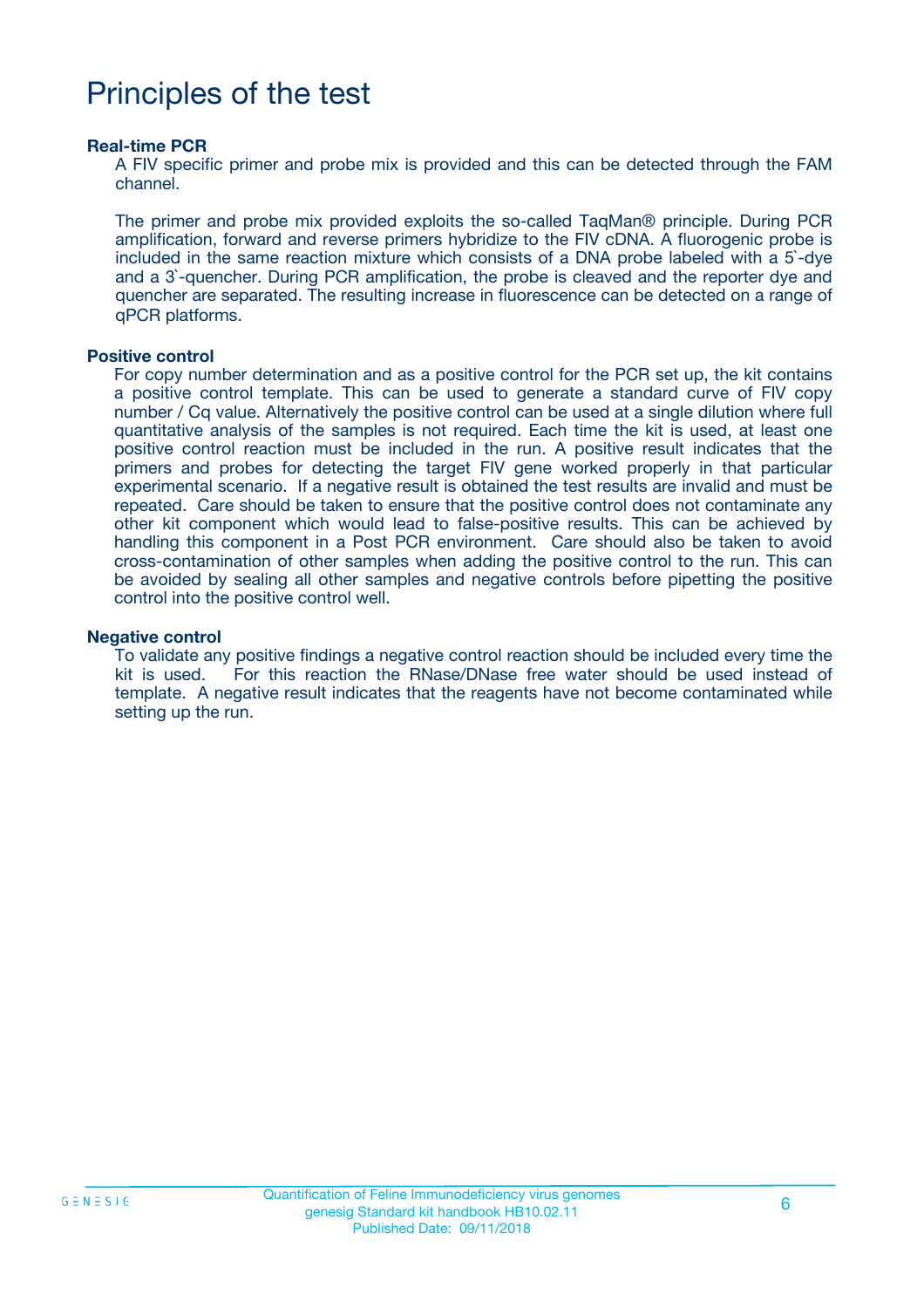# Principles of the test

#### **Real-time PCR**

A FIV specific primer and probe mix is provided and this can be detected through the FAM channel.

The primer and probe mix provided exploits the so-called TaqMan® principle. During PCR amplification, forward and reverse primers hybridize to the FIV cDNA. A fluorogenic probe is included in the same reaction mixture which consists of a DNA probe labeled with a 5`-dye and a 3`-quencher. During PCR amplification, the probe is cleaved and the reporter dye and quencher are separated. The resulting increase in fluorescence can be detected on a range of qPCR platforms.

#### **Positive control**

For copy number determination and as a positive control for the PCR set up, the kit contains a positive control template. This can be used to generate a standard curve of FIV copy number / Cq value. Alternatively the positive control can be used at a single dilution where full quantitative analysis of the samples is not required. Each time the kit is used, at least one positive control reaction must be included in the run. A positive result indicates that the primers and probes for detecting the target FIV gene worked properly in that particular experimental scenario. If a negative result is obtained the test results are invalid and must be repeated. Care should be taken to ensure that the positive control does not contaminate any other kit component which would lead to false-positive results. This can be achieved by handling this component in a Post PCR environment. Care should also be taken to avoid cross-contamination of other samples when adding the positive control to the run. This can be avoided by sealing all other samples and negative controls before pipetting the positive control into the positive control well.

#### **Negative control**

To validate any positive findings a negative control reaction should be included every time the kit is used. For this reaction the RNase/DNase free water should be used instead of template. A negative result indicates that the reagents have not become contaminated while setting up the run.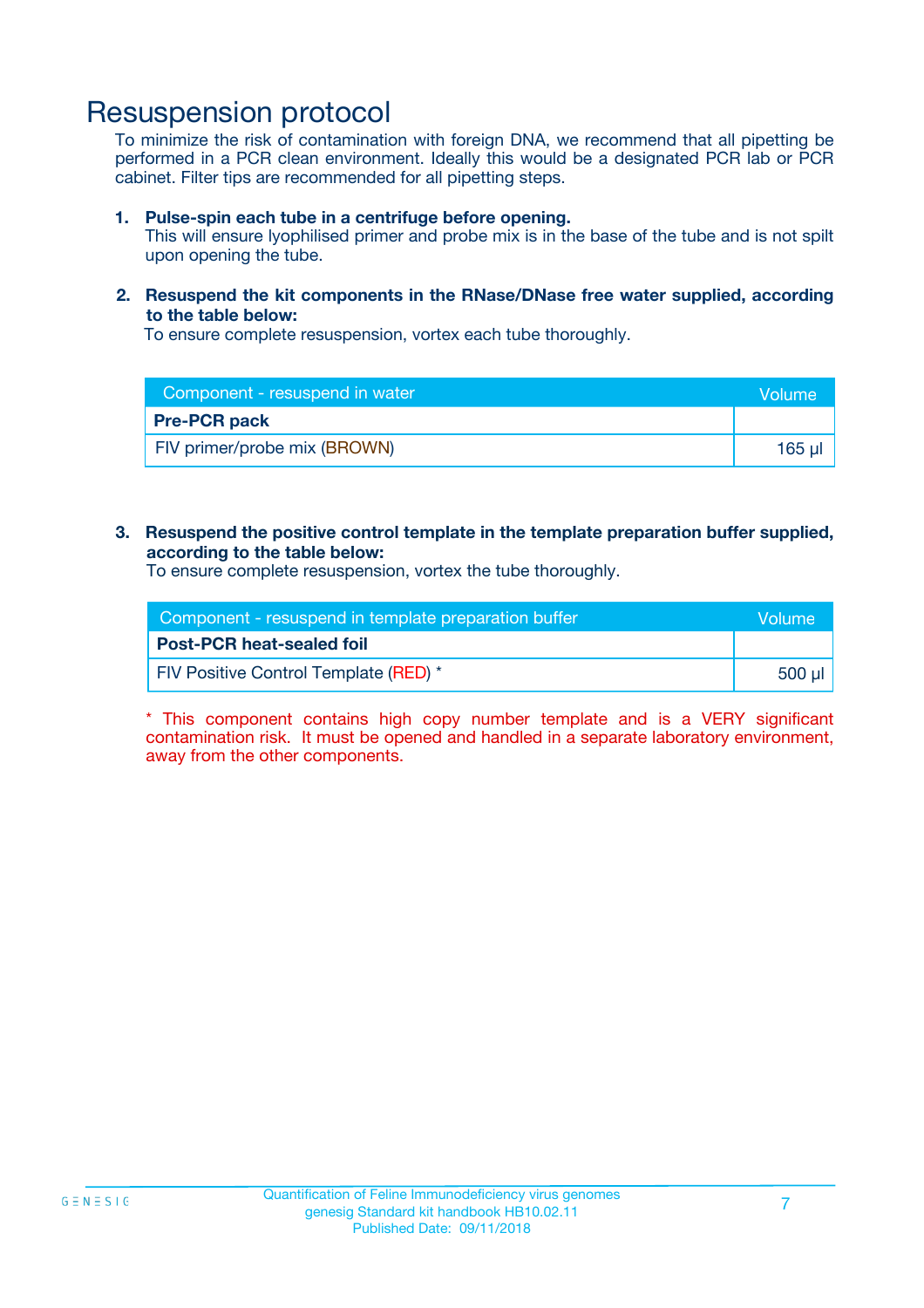### Resuspension protocol

To minimize the risk of contamination with foreign DNA, we recommend that all pipetting be performed in a PCR clean environment. Ideally this would be a designated PCR lab or PCR cabinet. Filter tips are recommended for all pipetting steps.

#### **1. Pulse-spin each tube in a centrifuge before opening.**

This will ensure lyophilised primer and probe mix is in the base of the tube and is not spilt upon opening the tube.

#### **2. Resuspend the kit components in the RNase/DNase free water supplied, according to the table below:**

To ensure complete resuspension, vortex each tube thoroughly.

| Component - resuspend in water |             |
|--------------------------------|-------------|
| <b>Pre-PCR pack</b>            |             |
| FIV primer/probe mix (BROWN)   | $165$ $\mu$ |

#### **3. Resuspend the positive control template in the template preparation buffer supplied, according to the table below:**

To ensure complete resuspension, vortex the tube thoroughly.

| Component - resuspend in template preparation buffer |        |
|------------------------------------------------------|--------|
| <b>Post-PCR heat-sealed foil</b>                     |        |
| <b>FIV Positive Control Template (RED)</b> *         | 500 µl |

\* This component contains high copy number template and is a VERY significant contamination risk. It must be opened and handled in a separate laboratory environment, away from the other components.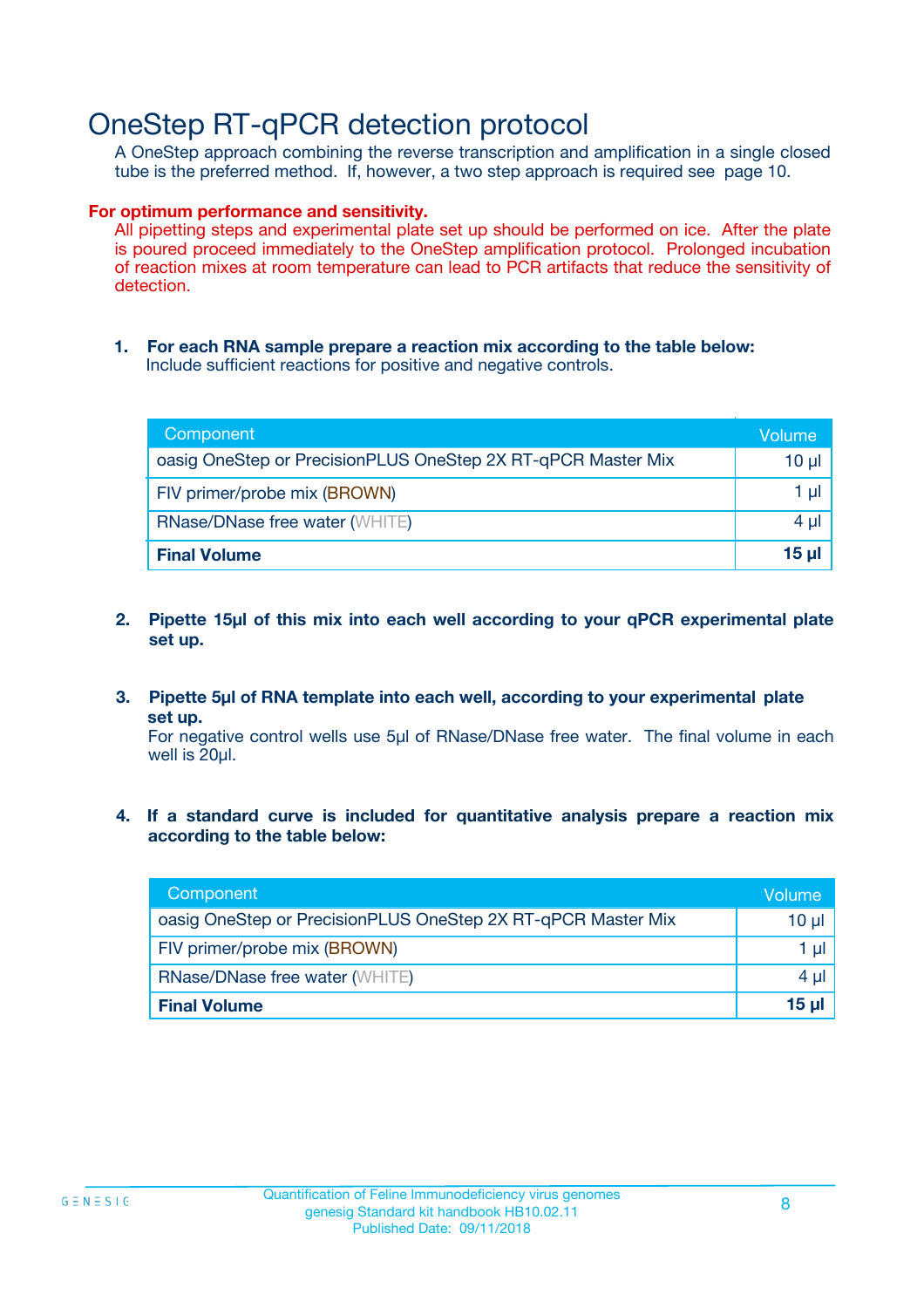## OneStep RT-qPCR detection protocol

A OneStep approach combining the reverse transcription and amplification in a single closed tube is the preferred method. If, however, a two step approach is required see page 10.

#### **For optimum performance and sensitivity.**

All pipetting steps and experimental plate set up should be performed on ice. After the plate is poured proceed immediately to the OneStep amplification protocol. Prolonged incubation of reaction mixes at room temperature can lead to PCR artifacts that reduce the sensitivity of detection.

**1. For each RNA sample prepare a reaction mix according to the table below:** Include sufficient reactions for positive and negative controls.

| Component                                                    | Volume   |
|--------------------------------------------------------------|----------|
| oasig OneStep or PrecisionPLUS OneStep 2X RT-qPCR Master Mix | $10 \mu$ |
| FIV primer/probe mix (BROWN)                                 | 1 µl     |
| <b>RNase/DNase free water (WHITE)</b>                        | $4 \mu$  |
| <b>Final Volume</b>                                          | $15$ µ   |

- **2. Pipette 15µl of this mix into each well according to your qPCR experimental plate set up.**
- **3. Pipette 5µl of RNA template into each well, according to your experimental plate set up.**

For negative control wells use 5µl of RNase/DNase free water. The final volume in each well is 20ul.

**4. If a standard curve is included for quantitative analysis prepare a reaction mix according to the table below:**

| Component                                                    | Volume  |
|--------------------------------------------------------------|---------|
| oasig OneStep or PrecisionPLUS OneStep 2X RT-qPCR Master Mix | 10 µl   |
| FIV primer/probe mix (BROWN)                                 | 1 ul    |
| <b>RNase/DNase free water (WHITE)</b>                        | $4 \mu$ |
| <b>Final Volume</b>                                          | 15 ul   |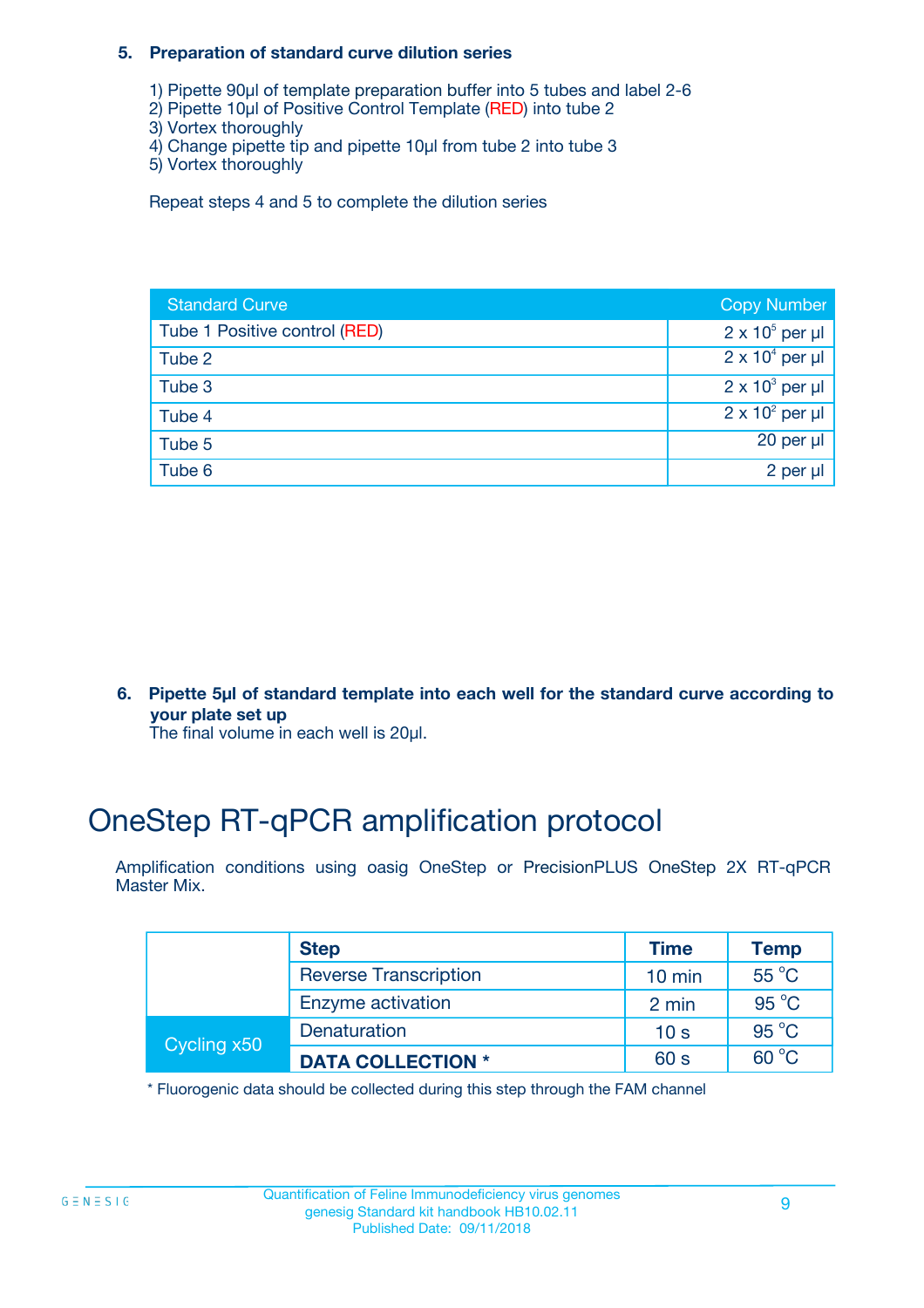#### **5. Preparation of standard curve dilution series**

- 1) Pipette 90µl of template preparation buffer into 5 tubes and label 2-6
- 2) Pipette 10µl of Positive Control Template (RED) into tube 2
- 3) Vortex thoroughly
- 4) Change pipette tip and pipette 10µl from tube 2 into tube 3
- 5) Vortex thoroughly

Repeat steps 4 and 5 to complete the dilution series

| <b>Standard Curve</b>         | <b>Copy Number</b>     |
|-------------------------------|------------------------|
| Tube 1 Positive control (RED) | $2 \times 10^5$ per µl |
| Tube 2                        | $2 \times 10^4$ per µl |
| Tube 3                        | $2 \times 10^3$ per µl |
| Tube 4                        | $2 \times 10^2$ per µl |
| Tube 5                        | 20 per µl              |
| Tube 6                        | 2 per µl               |

**6. Pipette 5µl of standard template into each well for the standard curve according to your plate set up**

The final volume in each well is 20ul.

# OneStep RT-qPCR amplification protocol

Amplification conditions using oasig OneStep or PrecisionPLUS OneStep 2X RT-qPCR Master Mix.

|             | <b>Step</b>                  | <b>Time</b>      | <b>Temp</b>    |
|-------------|------------------------------|------------------|----------------|
|             | <b>Reverse Transcription</b> | $10 \text{ min}$ | 55 °C          |
|             | Enzyme activation            | 2 min            | $95^{\circ}$ C |
| Cycling x50 | Denaturation                 | 10 <sub>s</sub>  | $95^{\circ}$ C |
|             | <b>DATA COLLECTION *</b>     | 60 s             | $60^{\circ}$ C |

\* Fluorogenic data should be collected during this step through the FAM channel